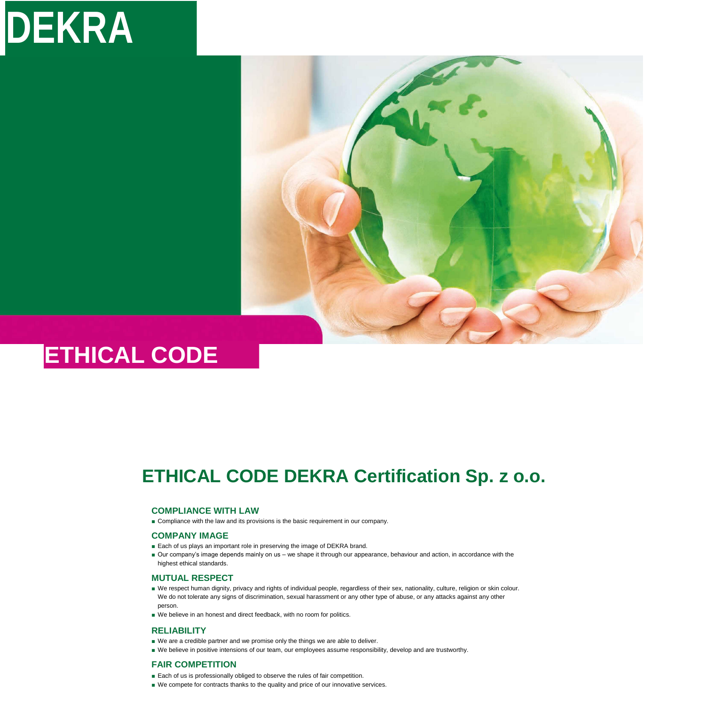# **ETHICAL CODE DEKRA Certification Sp. z o.o.**

# **COMPLIANCE WITH LAW**

■ Compliance with the law and its provisions is the basic requirement in our company.

# **COMPANY IMAGE**

- Each of us plays an important role in preserving the image of DEKRA brand.
- Our company's image depends mainly on us we shape it through our appearance, behaviour and action, in accordance with the highest ethical standards.

# **MUTUAL RESPECT**

- We respect human dignity, privacy and rights of individual people, regardless of their sex, nationality, culture, religion or skin colour. We do not tolerate any signs of discrimination, sexual harassment or any other type of abuse, or any attacks against any other person.
- We believe in an honest and direct feedback, with no room for politics.

# **RELIABILITY**

- We are a credible partner and we promise only the things we are able to deliver.
- We believe in positive intensions of our team, our employees assume responsibility, develop and are trustworthy.

# **FAIR COMPETITION**

- Each of us is professionally obliged to observe the rules of fair competition.
- We compete for contracts thanks to the quality and price of our innovative services.

# **DEKRA**